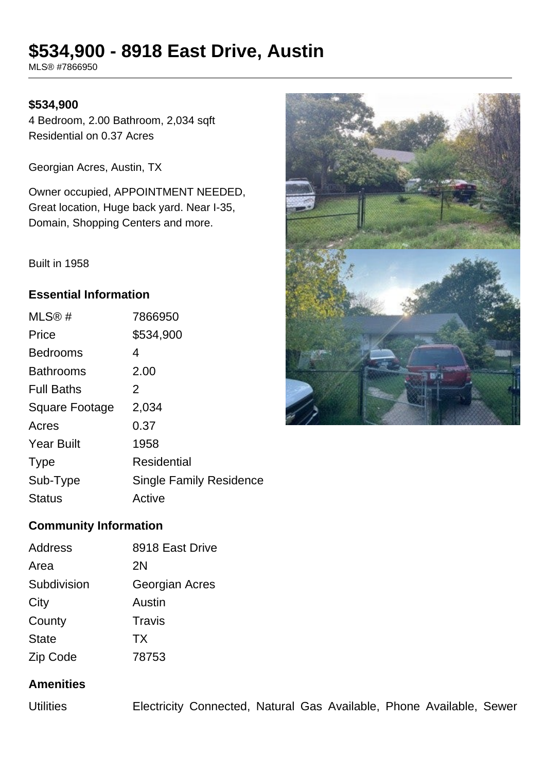# **\$534,900 - 8918 East Drive, Austin**

MLS® #7866950

### **\$534,900**

4 Bedroom, 2.00 Bathroom, 2,034 sqft Residential on 0.37 Acres

Georgian Acres, Austin, TX

Owner occupied, APPOINTMENT NEEDED, Great location, Huge back yard. Near I-35, Domain, Shopping Centers and more.

Built in 1958

### **Essential Information**

| MLS®#                 | 7866950                        |
|-----------------------|--------------------------------|
| Price                 | \$534,900                      |
| <b>Bedrooms</b>       | 4                              |
| <b>Bathrooms</b>      | 2.00                           |
| <b>Full Baths</b>     | 2                              |
| <b>Square Footage</b> | 2,034                          |
| Acres                 | 0.37                           |
| <b>Year Built</b>     | 1958                           |
| <b>Type</b>           | <b>Residential</b>             |
| Sub-Type              | <b>Single Family Residence</b> |
| <b>Status</b>         | Active                         |



# **Community Information**

| Address      | 8918 East Drive |
|--------------|-----------------|
| Area         | 2N              |
| Subdivision  | Georgian Acres  |
| City         | Austin          |
| County       | Travis          |
| <b>State</b> | <b>TX</b>       |
| Zip Code     | 78753           |

# **Amenities**

Utilities Electricity Connected, Natural Gas Available, Phone Available, Sewer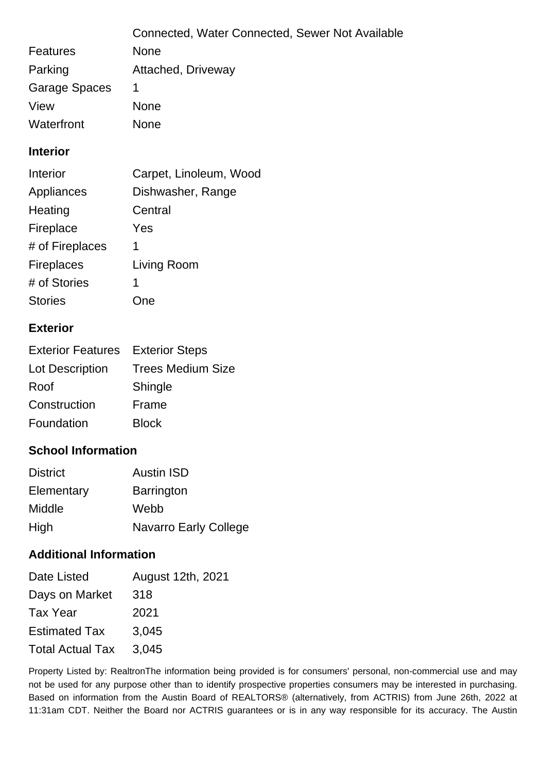|                      | Connected, Water Connected, Sewer Not Available |
|----------------------|-------------------------------------------------|
| <b>Features</b>      | <b>None</b>                                     |
| Parking              | Attached, Driveway                              |
| <b>Garage Spaces</b> |                                                 |
| View                 | <b>None</b>                                     |
| Waterfront           | None                                            |

### **Interior**

| Carpet, Linoleum, Wood |
|------------------------|
| Dishwasher, Range      |
| Central                |
| Yes                    |
| 1                      |
| Living Room            |
| 1                      |
| Ine                    |
|                        |

## **Exterior**

| <b>Exterior Features</b> | <b>Exterior Steps</b>    |
|--------------------------|--------------------------|
| Lot Description          | <b>Trees Medium Size</b> |
| Roof                     | Shingle                  |
| Construction             | Frame                    |
| Foundation               | <b>Block</b>             |

## **School Information**

| <b>District</b> | <b>Austin ISD</b>            |
|-----------------|------------------------------|
| Elementary      | <b>Barrington</b>            |
| Middle          | Webb                         |
| High            | <b>Navarro Early College</b> |

## **Additional Information**

| Date Listed             | August 12th, 2021 |
|-------------------------|-------------------|
| Days on Market          | 318               |
| Tax Year                | 2021              |
| <b>Estimated Tax</b>    | 3,045             |
| <b>Total Actual Tax</b> | 3,045             |

Property Listed by: RealtronThe information being provided is for consumers' personal, non-commercial use and may not be used for any purpose other than to identify prospective properties consumers may be interested in purchasing. Based on information from the Austin Board of REALTORS® (alternatively, from ACTRIS) from June 26th, 2022 at 11:31am CDT. Neither the Board nor ACTRIS guarantees or is in any way responsible for its accuracy. The Austin